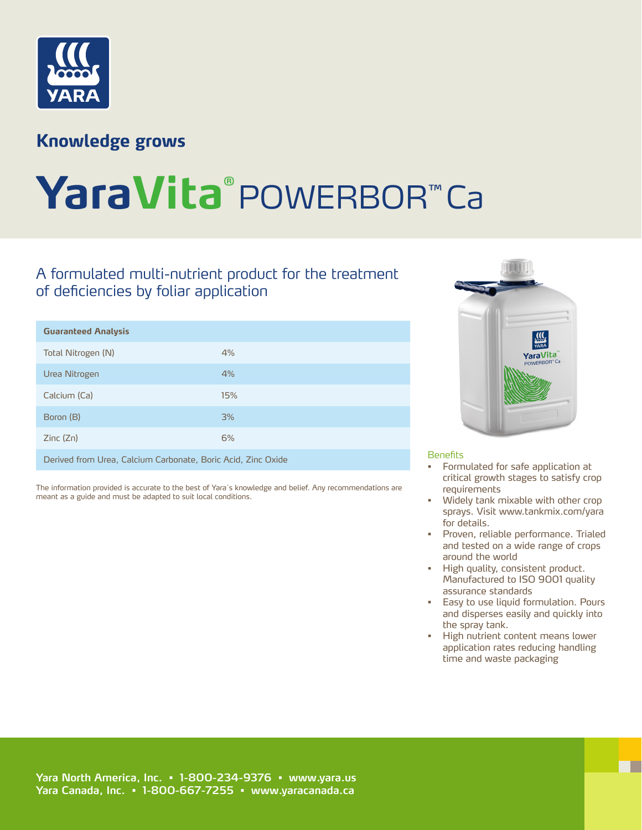

## **Knowledge grows**

# **YaraVita®** POWERBOR™ Ca

### A formulated multi-nutrient product for the treatment of deficiencies by foliar application

| <b>Guaranteed Analysis</b>                                   |     |
|--------------------------------------------------------------|-----|
| Total Nitrogen (N)                                           | 4%  |
| Urea Nitrogen                                                | 4%  |
| Calcium (Ca)                                                 | 15% |
| Boron (B)                                                    | 3%  |
| Zinc(Zn)                                                     | 6%  |
| Derived from Urea, Calcium Carbonate, Boric Acid, Zinc Oxide |     |

The information provided is accurate to the best of Yara´s knowledge and belief. Any recommendations are meant as a guide and must be adapted to suit local conditions.



#### Benefits

- Formulated for safe application at critical growth stages to satisfy crop requirements
- Widely tank mixable with other crop sprays. Visit www.tankmix.com/yara for details.
- Proven, reliable performance. Trialed and tested on a wide range of crops around the world
- High quality, consistent product. Manufactured to ISO 9001 quality assurance standards
- Easy to use liquid formulation. Pours and disperses easily and quickly into the spray tank.
- High nutrient content means lower application rates reducing handling time and waste packaging